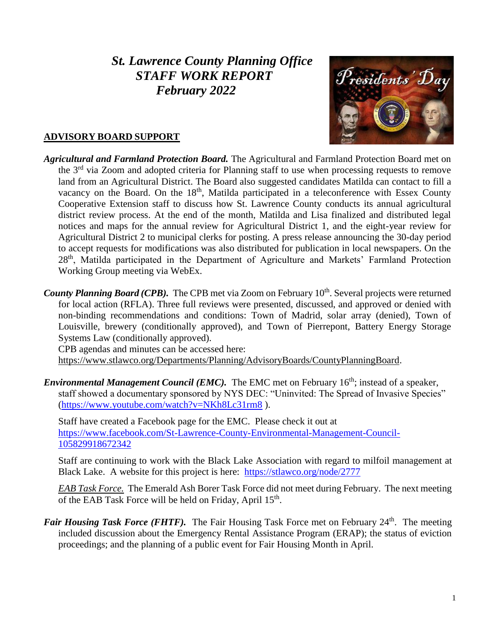# *St. Lawrence County Planning Office STAFF WORK REPORT February 2022*



## **ADVISORY BOARD SUPPORT**

*Agricultural and Farmland Protection Board.* The Agricultural and Farmland Protection Board met on the 3<sup>rd</sup> via Zoom and adopted criteria for Planning staff to use when processing requests to remove land from an Agricultural District. The Board also suggested candidates Matilda can contact to fill a vacancy on the Board. On the 18<sup>th</sup>, Matilda participated in a teleconference with Essex County Cooperative Extension staff to discuss how St. Lawrence County conducts its annual agricultural district review process. At the end of the month, Matilda and Lisa finalized and distributed legal notices and maps for the annual review for Agricultural District 1, and the eight-year review for Agricultural District 2 to municipal clerks for posting. A press release announcing the 30-day period to accept requests for modifications was also distributed for publication in local newspapers. On the 28<sup>th</sup>, Matilda participated in the Department of Agriculture and Markets' Farmland Protection Working Group meeting via WebEx.

County Planning Board (CPB). The CPB met via Zoom on February 10<sup>th</sup>. Several projects were returned for local action (RFLA). Three full reviews were presented, discussed, and approved or denied with non-binding recommendations and conditions: Town of Madrid, solar array (denied), Town of Louisville, brewery (conditionally approved), and Town of Pierrepont, Battery Energy Storage Systems Law (conditionally approved).

CPB agendas and minutes can be accessed here:

[https://www.stlawco.org/Departments/Planning/AdvisoryBoards/CountyPlanningBoard.](https://www.stlawco.org/Departments/Planning/AdvisoryBoards/CountyPlanningBoard)

*Environmental Management Council (EMC)*. The EMC met on February 16<sup>th</sup>; instead of a speaker, staff showed a documentary sponsored by NYS DEC: "Uninvited: The Spread of Invasive Species" [\(https://www.youtube.com/watch?v=NKh8Lc31rm8](https://www.youtube.com/watch?v=NKh8Lc31rm8) ).

Staff have created a Facebook page for the EMC. Please check it out at [https://www.facebook.com/St-Lawrence-County-Environmental-Management-Council-](https://www.facebook.com/St-Lawrence-County-Environmental-Management-Council-105829918672342)[105829918672342](https://www.facebook.com/St-Lawrence-County-Environmental-Management-Council-105829918672342)

Staff are continuing to work with the Black Lake Association with regard to milfoil management at Black Lake. A website for this project is here: <https://stlawco.org/node/2777>

*EAB Task Force.* The Emerald Ash Borer Task Force did not meet during February. The next meeting of the EAB Task Force will be held on Friday, April 15<sup>th</sup>.

*Fair Housing Task Force (FHTF).* The Fair Housing Task Force met on February 24<sup>th</sup>. The meeting included discussion about the Emergency Rental Assistance Program (ERAP); the status of eviction proceedings; and the planning of a public event for Fair Housing Month in April.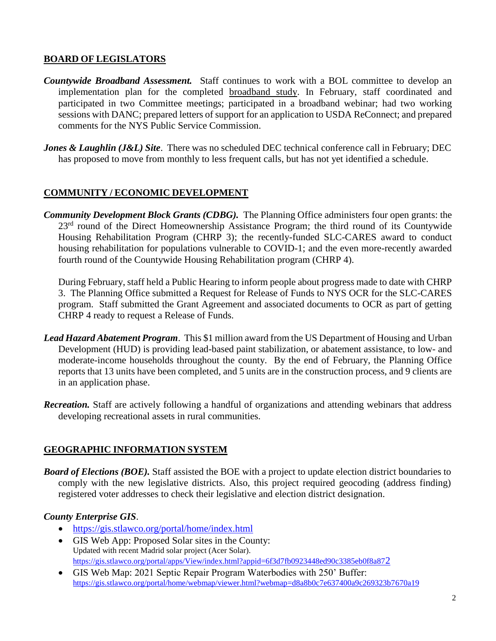## **BOARD OF LEGISLATORS**

- *Countywide Broadband Assessment.* Staff continues to work with a BOL committee to develop an implementation plan for the completed [broadband study.](https://stlawco.org/Broadband-Study) In February, staff coordinated and participated in two Committee meetings; participated in a broadband webinar; had two working sessions with DANC; prepared letters of support for an application to USDA ReConnect; and prepared comments for the NYS Public Service Commission.
- *Jones & Laughlin (J&L) Site.* There was no scheduled DEC technical conference call in February; DEC has proposed to move from monthly to less frequent calls, but has not yet identified a schedule.

## **COMMUNITY / ECONOMIC DEVELOPMENT**

*Community Development Block Grants (CDBG).* The Planning Office administers four open grants: the 23<sup>rd</sup> round of the Direct Homeownership Assistance Program; the third round of its Countywide Housing Rehabilitation Program (CHRP 3); the recently-funded SLC-CARES award to conduct housing rehabilitation for populations vulnerable to COVID-1; and the even more-recently awarded fourth round of the Countywide Housing Rehabilitation program (CHRP 4).

During February, staff held a Public Hearing to inform people about progress made to date with CHRP 3. The Planning Office submitted a Request for Release of Funds to NYS OCR for the SLC-CARES program. Staff submitted the Grant Agreement and associated documents to OCR as part of getting CHRP 4 ready to request a Release of Funds.

- *Lead Hazard Abatement Program*. This \$1 million award from the US Department of Housing and Urban Development (HUD) is providing lead-based paint stabilization, or abatement assistance, to low- and moderate-income households throughout the county. By the end of February, the Planning Office reports that 13 units have been completed, and 5 units are in the construction process, and 9 clients are in an application phase.
- *Recreation.* Staff are actively following a handful of organizations and attending webinars that address developing recreational assets in rural communities.

### **GEOGRAPHIC INFORMATION SYSTEM**

*Board of Elections (BOE).* Staff assisted the BOE with a project to update election district boundaries to comply with the new legislative districts. Also, this project required geocoding (address finding) registered voter addresses to check their legislative and election district designation.

### *County Enterprise GIS*.

- <https://gis.stlawco.org/portal/home/index.html>
- GIS Web App: Proposed Solar sites in the County: Updated with recent Madrid solar project (Acer Solar). [https://gis.stlawco.org/portal/apps/View/index.html?appid=6f3d7fb0923448ed90c3385eb0f8a87](https://gis.stlawco.org/portal/apps/View/index.html?appid=6f3d7fb0923448ed90c3385eb0f8a872)2
- GIS Web Map: 2021 Septic Repair Program Waterbodies with 250' Buffer: <https://gis.stlawco.org/portal/home/webmap/viewer.html?webmap=d8a8b0c7e637400a9c269323b7670a19>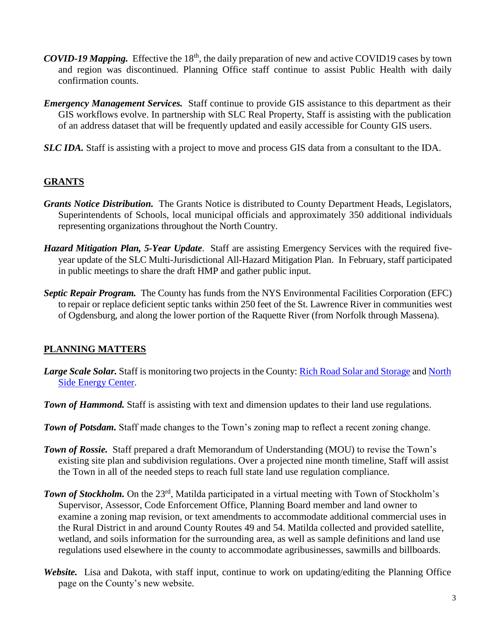- *COVID-19 Mapping.* Effective the 18<sup>th</sup>, the daily preparation of new and active COVID19 cases by town and region was discontinued. Planning Office staff continue to assist Public Health with daily confirmation counts.
- *Emergency Management Services.* Staff continue to provide GIS assistance to this department as their GIS workflows evolve. In partnership with SLC Real Property, Staff is assisting with the publication of an address dataset that will be frequently updated and easily accessible for County GIS users.
- *SLC IDA.* Staff is assisting with a project to move and process GIS data from a consultant to the IDA.

## **GRANTS**

- *Grants Notice Distribution.* The Grants Notice is distributed to County Department Heads, Legislators, Superintendents of Schools, local municipal officials and approximately 350 additional individuals representing organizations throughout the North Country.
- *Hazard Mitigation Plan, 5-Year Update*. Staff are assisting Emergency Services with the required fiveyear update of the SLC Multi-Jurisdictional All-Hazard Mitigation Plan. In February, staff participated in public meetings to share the draft HMP and gather public input.
- *Septic Repair Program.* The County has funds from the NYS Environmental Facilities Corporation (EFC) to repair or replace deficient septic tanks within 250 feet of the St. Lawrence River in communities west of Ogdensburg, and along the lower portion of the Raquette River (from Norfolk through Massena).

## **PLANNING MATTERS**

- *Large Scale Solar.* Staff is monitoring two projects in the County: [Rich Road Solar and Storage](https://www.edf-re.com/project/rich-road-solar/) and [North](https://www.northsideenergycenter.com/) [Side Energy Center.](https://www.northsideenergycenter.com/)
- **Town of Hammond.** Staff is assisting with text and dimension updates to their land use regulations.
- **Town of Potsdam.** Staff made changes to the Town's zoning map to reflect a recent zoning change.
- *Town of Rossie.* Staff prepared a draft Memorandum of Understanding (MOU) to revise the Town's existing site plan and subdivision regulations. Over a projected nine month timeline, Staff will assist the Town in all of the needed steps to reach full state land use regulation compliance.
- *Town of Stockholm.* On the 23<sup>rd</sup>, Matilda participated in a virtual meeting with Town of Stockholm's Supervisor, Assessor, Code Enforcement Office, Planning Board member and land owner to examine a zoning map revision, or text amendments to accommodate additional commercial uses in the Rural District in and around County Routes 49 and 54. Matilda collected and provided satellite, wetland, and soils information for the surrounding area, as well as sample definitions and land use regulations used elsewhere in the county to accommodate agribusinesses, sawmills and billboards.
- *Website.* Lisa and Dakota, with staff input, continue to work on updating/editing the Planning Office page on the County's new website.